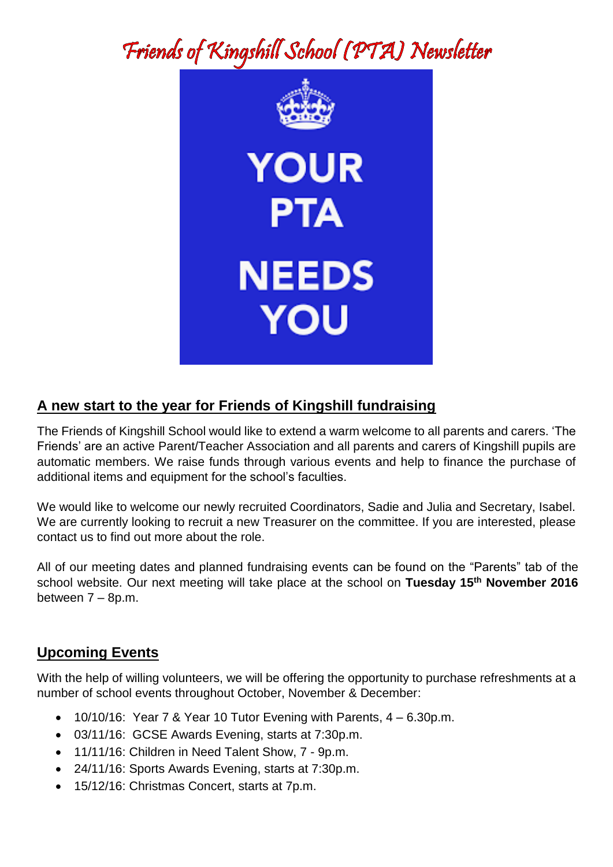# Friends of Kingshill School (PTA) Newsletter



## **A new start to the year for Friends of Kingshill fundraising**

The Friends of Kingshill School would like to extend a warm welcome to all parents and carers. 'The Friends' are an active Parent/Teacher Association and all parents and carers of Kingshill pupils are automatic members. We raise funds through various events and help to finance the purchase of additional items and equipment for the school's faculties.

We would like to welcome our newly recruited Coordinators, Sadie and Julia and Secretary, Isabel. We are currently looking to recruit a new Treasurer on the committee. If you are interested, please contact us to find out more about the role.

All of our meeting dates and planned fundraising events can be found on the "Parents" tab of the school website. Our next meeting will take place at the school on **Tuesday 15th November 2016**  between 7 – 8p.m.

#### **Upcoming Events**

With the help of willing volunteers, we will be offering the opportunity to purchase refreshments at a number of school events throughout October, November & December:

- $\bullet$  10/10/16: Year 7 & Year 10 Tutor Evening with Parents,  $4 6.30$ p.m.
- 03/11/16: GCSE Awards Evening, starts at 7:30p.m.
- 11/11/16: Children in Need Talent Show, 7 9p.m.
- 24/11/16: Sports Awards Evening, starts at 7:30p.m.
- 15/12/16: Christmas Concert, starts at 7p.m.